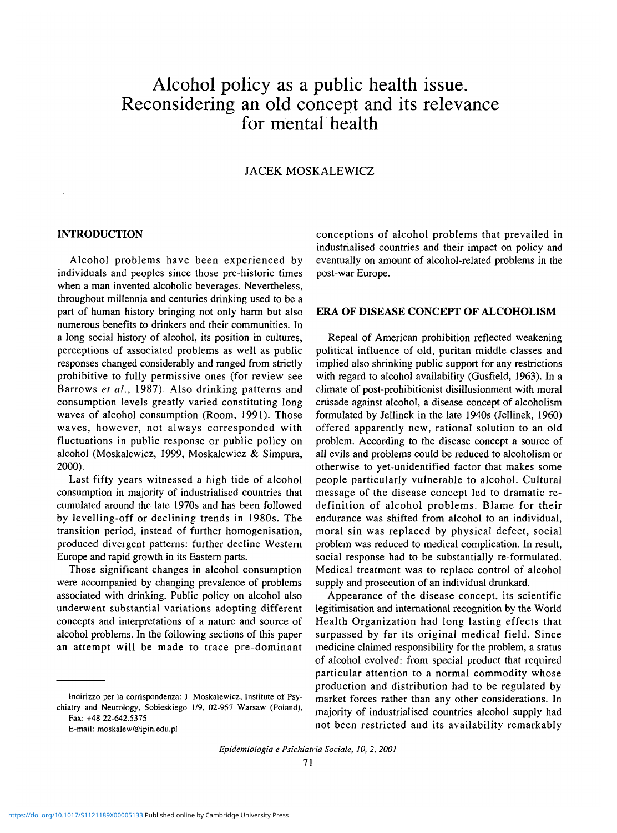# Alcohol policy as a public health issue. Reconsidering an old concept and its relevance for mental health

# JACEK MOSKALEWICZ

#### **INTRODUCTION**

Alcohol problems have been experienced by individuals and peoples since those pre-historic times when a man invented alcoholic beverages. Nevertheless, throughout millennia and centuries drinking used to be a part of human history bringing not only harm but also numerous benefits to drinkers and their communities. In a long social history of alcohol, its position in cultures, perceptions of associated problems as well as public responses changed considerably and ranged from strictly prohibitive to fully permissive ones (for review see Barrows *et al.,* 1987). Also drinking patterns and consumption levels greatly varied constituting long waves of alcohol consumption (Room, 1991). Those waves, however, not always corresponded with fluctuations in public response or public policy on alcohol (Moskalewicz, 1999, Moskalewicz & Simpura, 2000).

Last fifty years witnessed a high tide of alcohol consumption in majority of industrialised countries that cumulated around the late 1970s and has been followed by levelling-off or declining trends in 1980s. The transition period, instead of further homogenisation, produced divergent patterns: further decline Western Europe and rapid growth in its Eastern parts.

Those significant changes in alcohol consumption were accompanied by changing prevalence of problems associated with drinking. Public policy on alcohol also underwent substantial variations adopting different concepts and interpretations of a nature and source of alcohol problems. In the following sections of this paper an attempt will be made to trace pre-dominant conceptions of alcohol problems that prevailed in industrialised countries and their impact on policy and eventually on amount of alcohol-related problems in the post-war Europe.

### **ERA OF DISEASE CONCEPT OF ALCOHOLISM**

Repeal of American prohibition reflected weakening political influence of old, puritan middle classes and implied also shrinking public support for any restrictions with regard to alcohol availability (Gusfield, 1963). In a climate of post-prohibitionist disillusionment with moral crusade against alcohol, a disease concept of alcoholism formulated by Jellinek in the late 1940s (Jellinek, 1960) offered apparently new, rational solution to an old problem. According to the disease concept a source of all evils and problems could be reduced to alcoholism or otherwise to yet-unidentified factor that makes some people particularly vulnerable to alcohol. Cultural message of the disease concept led to dramatic redefinition of alcohol problems. Blame for their endurance was shifted from alcohol to an individual, moral sin was replaced by physical defect, social problem was reduced to medical complication. In result, social response had to be substantially re-formulated. Medical treatment was to replace control of alcohol supply and prosecution of an individual drunkard.

Appearance of the disease concept, its scientific legitimisation and international recognition by the World Health Organization had long lasting effects that surpassed by far its original medical field. Since medicine claimed responsibility for the problem, a status of alcohol evolved: from special product that required particular attention to a normal commodity whose production and distribution had to be regulated by market forces rather than any other considerations. In majority of industrialised countries alcohol supply had not been restricted and its availability remarkably

Indirizzo per la corrispondenza: J. Moskalewicz, Institute of Psychiatry and Neurology, Sobieskiego 1/9, 02-957 Warsaw (Poland). Fax: +48 22-642.5375

E-mail: moskalew@ipin.edu.pi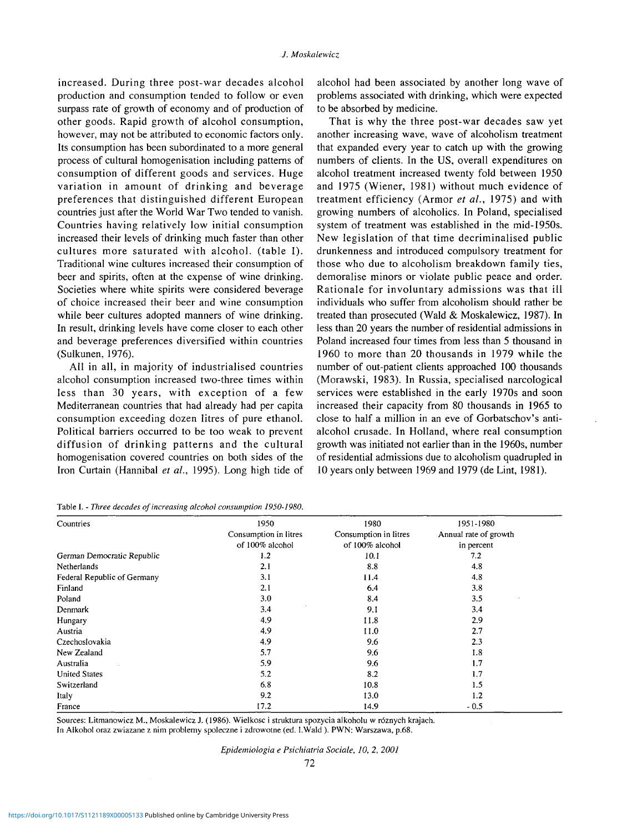increased. During three post-war decades alcohol production and consumption tended to follow or even surpass rate of growth of economy and of production of other goods. Rapid growth of alcohol consumption, however, may not be attributed to economic factors only. Its consumption has been subordinated to a more general process of cultural homogenisation including patterns of consumption of different goods and services. Huge variation in amount of drinking and beverage preferences that distinguished different European countries just after the World War Two tended to vanish. Countries having relatively low initial consumption increased their levels of drinking much faster than other cultures more saturated with alcohol, (table I). Traditional wine cultures increased their consumption of beer and spirits, often at the expense of wine drinking. Societies where white spirits were considered beverage of choice increased their beer and wine consumption while beer cultures adopted manners of wine drinking. In result, drinking levels have come closer to each other and beverage preferences diversified within countries (Sulkunen, 1976).

All in all, in majority of industrialised countries alcohol consumption increased two-three times within less than 30 years, with exception of a few Mediterranean countries that had already had per capita consumption exceeding dozen litres of pure ethanol. Political barriers occurred to be too weak to prevent diffusion of drinking patterns and the cultural homogenisation covered countries on both sides of the Iron Curtain (Hannibal *et al.,* 1995). Long high tide of alcohol had been associated by another long wave of problems associated with drinking, which were expected to be absorbed by medicine.

That is why the three post-war decades saw yet another increasing wave, wave of alcoholism treatment that expanded every year to catch up with the growing numbers of clients. In the US, overall expenditures on alcohol treatment increased twenty fold between 1950 and 1975 (Wiener, 1981) without much evidence of treatment efficiency (Armor *et al.,* 1975) and with growing numbers of alcoholics. In Poland, specialised system of treatment was established in the mid-1950s. New legislation of that time decriminalised public drunkenness and introduced compulsory treatment for those who due to alcoholism breakdown family ties, demoralise minors or violate public peace and order. Rationale for involuntary admissions was that ill individuals who suffer from alcoholism should rather be treated than prosecuted (Wald & Moskalewicz, 1987). In less than 20 years the number of residential admissions in Poland increased four times from less than 5 thousand in 1960 to more than 20 thousands in 1979 while the number of out-patient clients approached 100 thousands (Morawski, 1983). In Russia, specialised narcological services were established in the early 1970s and soon increased their capacity from 80 thousands in 1965 to close to half a million in an eve of Gorbatschov's antialcohol crusade. In Holland, where real consumption growth was initiated not earlier than in the 1960s, number of residential admissions due to alcoholism quadrupled in 10 years only between 1969 and 1979 (de Lint, 1981).

|  |  |  |  |  |  | Table I. - Three decades of increasing alcohol consumption 1950-1980. |  |
|--|--|--|--|--|--|-----------------------------------------------------------------------|--|
|--|--|--|--|--|--|-----------------------------------------------------------------------|--|

| Countries                   | 1950                  | 1980                  | 1951-1980             |
|-----------------------------|-----------------------|-----------------------|-----------------------|
|                             | Consumption in litres | Consumption in litres | Annual rate of growth |
|                             | of 100% alcohol       | of 100% alcohol       | in percent            |
| German Democratic Republic  | 1.2                   | 10.1                  | 7.2                   |
| Netherlands                 | 2.1                   | 8.8                   | 4.8                   |
| Federal Republic of Germany | 3.1                   | 11.4                  | 4.8                   |
| Finland                     | 2.1                   | 6.4                   | 3.8                   |
| Poland                      | 3.0                   | 8.4                   | 3.5                   |
| Denmark                     | 3.4                   | 9.1                   | 3.4                   |
| Hungary                     | 4.9                   | 11.8                  | 2.9                   |
| Austria                     | 4.9                   | 11.0                  | 2.7                   |
| Czechoslovakia              | 4.9                   | 9.6                   | 2.3                   |
| New Zealand                 | 5.7                   | 9.6                   | 1.8                   |
| Australia                   | 5.9                   | 9.6                   | 1.7                   |
| <b>United States</b>        | 5.2                   | 8.2                   | 1.7                   |
| Switzerland                 | 6.8                   | 10.8                  | 1.5                   |
| <b>Italy</b>                | 9.2                   | 13.0                  | 1.2                   |
| France                      | 17.2                  | 14.9                  | $-0.5$                |

Sources: Litmanowicz M., Moskalewicz J. (1986). Wielkosc i struktura spozycia alkoholu w roznych krajach. In Alkohol oraz zwiazane z nim problemy spoleczne i zdrowotne (ed. I.Wald ). PWN: Warszawa, p.68.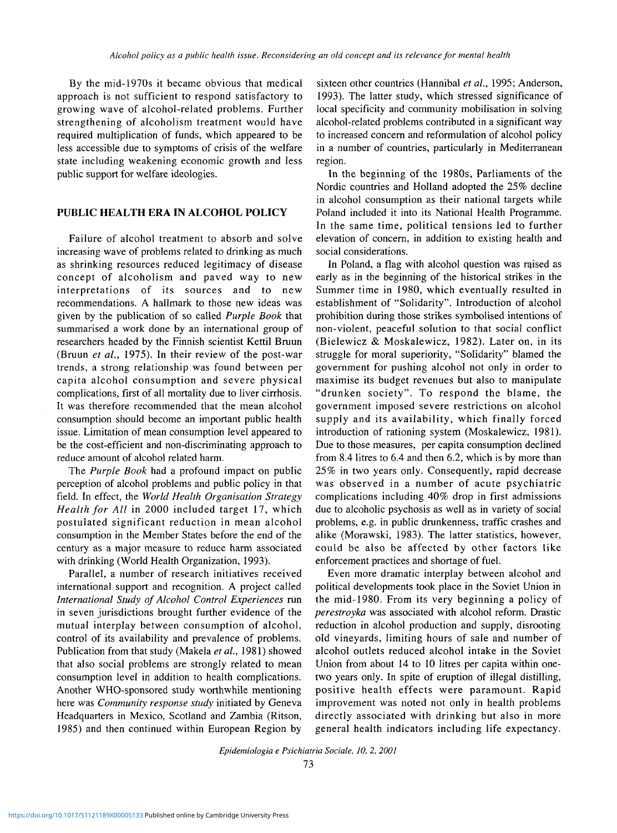By the mid-1970s it became obvious that medical approach is not sufficient to respond satisfactory to growing wave of alcohol-related problems. Further strengthening of alcoholism treatment would have required multiplication of funds, which appeared to be less accessible due to symptoms of crisis of the welfare state including weakening economic growth and less public support for welfare ideologies.

# **PUBLIC HEALTH ERA IN ALCOHOL POLICY**

Failure of alcohol treatment to absorb and solve increasing wave of problems related to drinking as much as shrinking resources reduced legitimacy of disease concept of alcoholism and paved way to new interpretations of its sources and to new recommendations. A hallmark to those new ideas was given by the publication of so called *Purple Book* that summarised a work done by an international group of researchers headed by the Finnish scientist Kettil Bruun (Bruun *et al.,* 1975). In their review of the post-war trends, a strong relationship was found between per capita alcohol consumption and severe physical complications, first of all mortality due to liver cirrhosis. It was therefore recommended that the mean alcohol consumption should become an important public health issue. Limitation of mean consumption level appeared to be the cost-efficient and non-discriminating approach to reduce amount of alcohol related harm.

The *Purple Book* had a profound impact on public perception of alcohol problems and public policy in that field. In effect, the *World Health Organisation Strategy Health for All* in 2000 included target 17, which postulated significant reduction in mean alcohol consumption in the Member States before the end of the century as a major measure to reduce harm associated with drinking (World Health Organization, 1993).

Parallel, a number of research initiatives received international support and recognition. A project called *International Study of Alcohol Control Experiences* run in seven jurisdictions brought further evidence of the mutual interplay between consumption of alcohol, control of its availability and prevalence of problems. Publication from that study (Makela *et al.,* 1981) showed that also social problems are strongly related to mean consumption level in addition to health complications. Another WHO-sponsored study worthwhile mentioning here was *Community response study* initiated by Geneva Headquarters in Mexico, Scotland and Zambia (Ritson, 1985) and then continued within European Region by

sixteen other countries (Hannibal *et al.,* 1995; Anderson, 1993). The latter study, which stressed significance of local specificity and community mobilisation in solving alcohol-related problems contributed in a significant way to increased concern and reformulation of alcohol policy in a number of countries, particularly in Mediterranean region.

In the beginning of the 1980s, Parliaments of the Nordic countries and Holland adopted the 25% decline in alcohol consumption as their national targets while Poland included it into its National Health Programme. In the same time, political tensions led to further elevation of concern, in addition to existing health and social considerations.

In Poland, a flag with alcohol question was raised as early as in the beginning of the historical strikes in the Summer time in 1980, which eventually resulted in establishment of "Solidarity". Introduction of alcohol prohibition during those strikes symbolised intentions of non-violent, peaceful solution to that social conflict (Bielewicz & Moskalewicz, 1982). Later on, in its struggle for moral superiority, "Solidarity" blamed the government for pushing alcohol not only in order to maximise its budget revenues but also to manipulate "drunken society". To respond the blame, the government imposed severe restrictions on alcohol supply and its availability, which finally forced introduction of rationing system (Moskalewicz, 1981). Due to those measures, per capita consumption declined from 8.4 litres to 6.4 and then 6.2, which is by more than 25% in two years only. Consequently, rapid decrease was observed in a number of acute psychiatric complications including 40% drop in first admissions due to alcoholic psychosis as well as in variety of social problems, e.g. in public drunkenness, traffic crashes and alike (Morawski, 1983). The latter statistics, however, could be also be affected by other factors like enforcement practices and shortage of fuel.

Even more dramatic interplay between alcohol and political developments took place in the Soviet Union in the mid-1980. From its very beginning a policy of *perestroyka* was associated with alcohol reform. Drastic reduction in alcohol production and supply, disrooting old vineyards, limiting hours of sale and number of alcohol outlets reduced alcohol intake in the Soviet Union from about 14 to 10 litres per capita within onetwo years only. In spite of eruption of illegal distilling, positive health effects were paramount. Rapid improvement was noted not only in health problems directly associated with drinking but also in more general health indicators including life expectancy.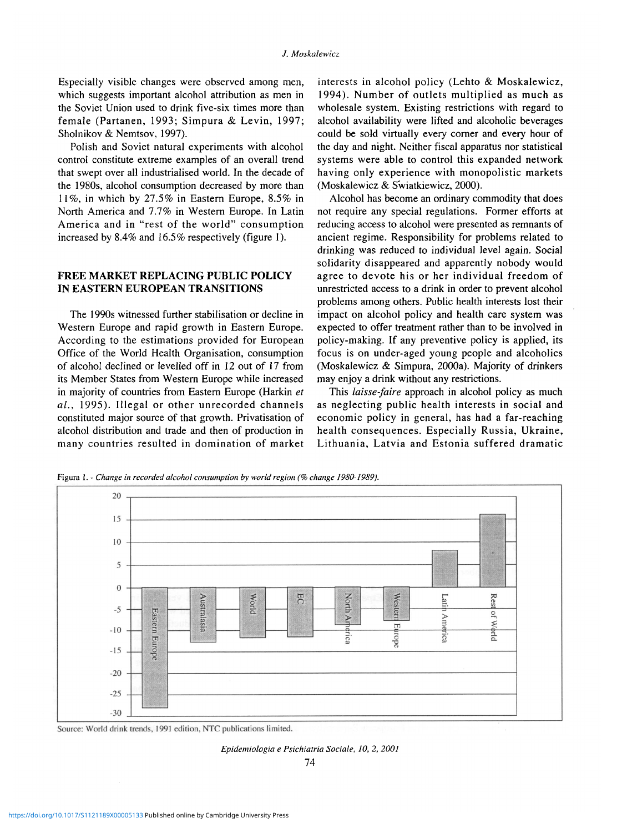Especially visible changes were observed among men, which suggests important alcohol attribution as men in the Soviet Union used to drink five-six times more than female (Partanen, 1993; Simpura & Levin, 1997; Sholnikov & Nemtsov, 1997).

Polish and Soviet natural experiments with alcohol control constitute extreme examples of an overall trend that swept over all industrialised world. In the decade of the 1980s, alcohol consumption decreased by more than 11%, in which by 27.5% in Eastern Europe, 8.5% in North America and 7.7% in Western Europe. In Latin America and in "rest of the world" consumption increased by 8.4% and 16.5% respectively (figure 1).

# **FREE MARKET REPLACING PUBLIC POLICY IN EASTERN EUROPEAN TRANSITIONS**

The 1990s witnessed further stabilisation or decline in Western Europe and rapid growth in Eastern Europe. According to the estimations provided for European Office of the World Health Organisation, consumption of alcohol declined or levelled off in 12 out of 17 from its Member States from Western Europe while increased in majority of countries from Eastern Europe (Harkin *et al.,* 1995). Illegal or other unrecorded channels constituted major source of that growth. Privatisation of alcohol distribution and trade and then of production in many countries resulted in domination of market

interests in alcohol policy (Lehto & Moskalewicz, 1994). Number of outlets multiplied as much as wholesale system. Existing restrictions with regard to alcohol availability were lifted and alcoholic beverages could be sold virtually every corner and every hour of the day and night. Neither fiscal apparatus nor statistical systems were able to control this expanded network having only experience with monopolistic markets (Moskalewicz & Swiatkiewicz, 2000).

Alcohol has become an ordinary commodity that does not require any special regulations. Former efforts at reducing access to alcohol were presented as remnants of ancient regime. Responsibility for problems related to drinking was reduced to individual level again. Social solidarity disappeared and apparently nobody would agree to devote his or her individual freedom of unrestricted access to a drink in order to prevent alcohol problems among others. Public health interests lost their impact on alcohol policy and health care system was expected to offer treatment rather than to be involved in policy-making. If any preventive policy is applied, its focus is on under-aged young people and alcoholics (Moskalewicz & Simpura, 2000a). Majority of drinkers may enjoy a drink without any restrictions.

This *laisse-faire* approach in alcohol policy as much as neglecting public health interests in social and economic policy in general, has had a far-reaching health consequences. Especially Russia, Ukraine, Lithuania, Latvia and Estonia suffered dramatic

Figura 1. - *Change in recorded alcohol consumption by world region (% change 1980-1989).*



Source: World drink trends, 1991 edition, NTC publications limited.

*Epidemiologia e Psichiatria Sociale, 10, 2, 2001*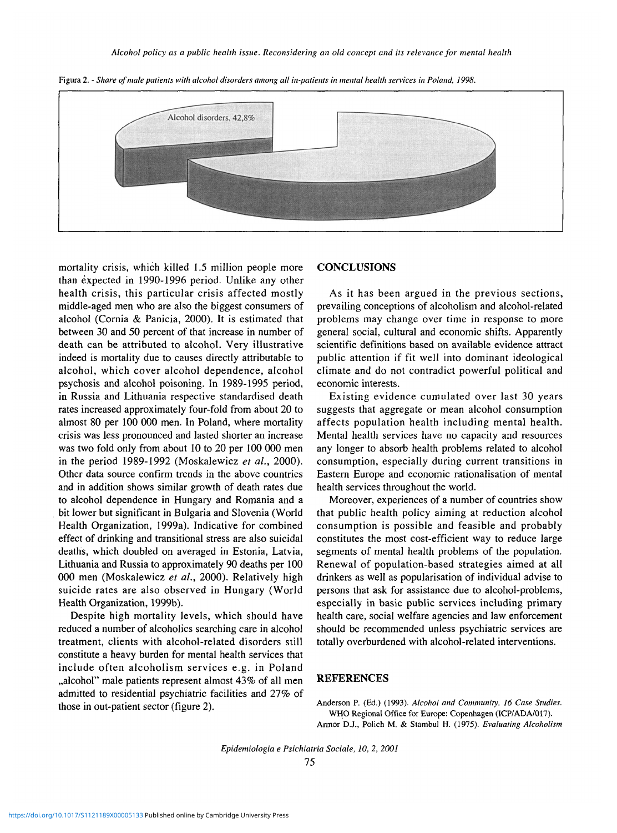

Figura 2. - *Share of male patients with alcohol disorders among all in-patients in mental health services in Poland, 1998.*

mortality crisis, which killed 1.5 million people more than expected in 1990-1996 period. Unlike any other health crisis, this particular crisis affected mostly middle-aged men who are also the biggest consumers of alcohol (Cornia & Panicia, 2000). It is estimated that between 30 and 50 percent of that increase in number of death can be attributed to alcohol. Very illustrative indeed is mortality due to causes directly attributable to alcohol, which cover alcohol dependence, alcohol psychosis and alcohol poisoning. In 1989-1995 period, in Russia and Lithuania respective standardised death rates increased approximately four-fold from about 20 to almost 80 per 100 000 men. In Poland, where mortality crisis was less pronounced and lasted shorter an increase was two fold only from about 10 to 20 per 100 000 men in the period 1989-1992 (Moskalewicz *et al.,* 2000). Other data source confirm trends in the above countries and in addition shows similar growth of death rates due to alcohol dependence in Hungary and Romania and a bit lower but significant in Bulgaria and Slovenia (World Health Organization, 1999a). Indicative for combined effect of drinking and transitional stress are also suicidal deaths, which doubled on averaged in Estonia, Latvia, Lithuania and Russia to approximately 90 deaths per 100 000 men (Moskalewicz *et al.,* 2000). Relatively high suicide rates are also observed in Hungary (World Health Organization, 1999b).

Despite high mortality levels, which should have reduced a number of alcoholics searching care in alcohol treatment, clients with alcohol-related disorders still constitute a heavy burden for mental health services that include often alcoholism services e.g. in Poland ,,alcohol" male patients represent almost 43% of all men admitted to residential psychiatric facilities and 27% of those in out-patient sector (figure 2).

## **CONCLUSIONS**

As it has been argued in the previous sections, prevailing conceptions of alcoholism and alcohol-related problems may change over time in response to more general social, cultural and economic shifts. Apparently scientific definitions based on available evidence attract public attention if fit well into dominant ideological climate and do not contradict powerful political and economic interests.

Existing evidence cumulated over last 30 years suggests that aggregate or mean alcohol consumption affects population health including mental health. Mental health services have no capacity and resources any longer to absorb health problems related to alcohol consumption, especially during current transitions in Eastern Europe and economic rationalisation of mental health services throughout the world.

Moreover, experiences of a number of countries show that public health policy aiming at reduction alcohol consumption is possible and feasible and probably constitutes the most cost-efficient way to reduce large segments of mental health problems of the population. Renewal of population-based strategies aimed at all drinkers as well as popularisation of individual advise to persons that ask for assistance due to alcohol-problems, especially in basic public services including primary health care, social welfare agencies and law enforcement should be recommended unless psychiatric services are totally overburdened with alcohol-related interventions.

#### REFERENCES

Anderson P. (Ed.) (1993). *Alcohol and Community. 16 Case Studies.* WHO Regional Office for Europe: Copenhagen (ICP/ADA/017). Armor D.J., Polich M. & Stambul H. (1975). *Evaluating Alcoholism*